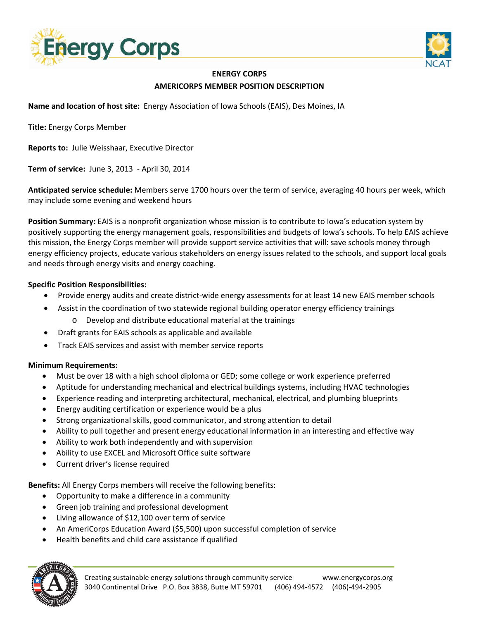



## **ENERGY CORPS AMERICORPS MEMBER POSITION DESCRIPTION**

**Name and location of host site:** Energy Association of Iowa Schools (EAIS), Des Moines, IA

**Title:** Energy Corps Member

**Reports to:** Julie Weisshaar, Executive Director

**Term of service:** June 3, 2013 - April 30, 2014

**Anticipated service schedule:** Members serve 1700 hours over the term of service, averaging 40 hours per week, which may include some evening and weekend hours

**Position Summary:** EAIS is a nonprofit organization whose mission is to contribute to Iowa's education system by positively supporting the energy management goals, responsibilities and budgets of Iowa's schools. To help EAIS achieve this mission, the Energy Corps member will provide support service activities that will: save schools money through energy efficiency projects, educate various stakeholders on energy issues related to the schools, and support local goals and needs through energy visits and energy coaching.

## **Specific Position Responsibilities:**

- Provide energy audits and create district-wide energy assessments for at least 14 new EAIS member schools
- Assist in the coordination of two statewide regional building operator energy efficiency trainings o Develop and distribute educational material at the trainings
- Draft grants for EAIS schools as applicable and available
- Track EAIS services and assist with member service reports

## **Minimum Requirements:**

- Must be over 18 with a high school diploma or GED; some college or work experience preferred
- Aptitude for understanding mechanical and electrical buildings systems, including HVAC technologies
- Experience reading and interpreting architectural, mechanical, electrical, and plumbing blueprints
- Energy auditing certification or experience would be a plus
- Strong organizational skills, good communicator, and strong attention to detail
- Ability to pull together and present energy educational information in an interesting and effective way
- Ability to work both independently and with supervision
- Ability to use EXCEL and Microsoft Office suite software
- Current driver's license required

**Benefits:** All Energy Corps members will receive the following benefits:

- Opportunity to make a difference in a community
- Green job training and professional development
- Living allowance of \$12,100 over term of service
- An AmeriCorps Education Award (\$5,500) upon successful completion of service
- Health benefits and child care assistance if qualified